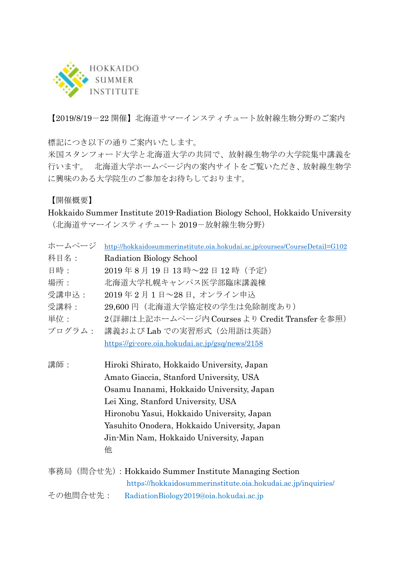

【2019/8/19-22 開催】北海道サマーインスティチュート放射線生物分野のご案内

標記につき以下の通りご案内いたします。

米国スタンフォード大学と北海道大学の共同で、放射線生物学の大学院集中講義を 行います。 北海道大学ホームページ内の案内サイトをご覧いただき、放射線生物学 に興味のある大学院生のご参加をお待ちしております。

【開催概要】

Hokkaido Summer Institute 2019-Radiation Biology School, Hokkaido University (北海道サマーインスティチュート 2019-放射線生物分野)

| ホームページ                                             | http://hokkaidosummerinstitute.oia.hokudai.ac.jp/courses/CourseDetail=G102                                                                                                                                                                                                                                             |
|----------------------------------------------------|------------------------------------------------------------------------------------------------------------------------------------------------------------------------------------------------------------------------------------------------------------------------------------------------------------------------|
| 科目名:                                               | Radiation Biology School                                                                                                                                                                                                                                                                                               |
| 日時:                                                | 2019年8月19日13時~22日12時 (予定)                                                                                                                                                                                                                                                                                              |
| 場所:                                                | 北海道大学札幌キャンパス医学部臨床講義棟                                                                                                                                                                                                                                                                                                   |
| 受講申込:                                              | 2019年2月1日~28日、オンライン申込                                                                                                                                                                                                                                                                                                  |
| 受講料:                                               | 29,600円(北海道大学協定校の学生は免除制度あり)                                                                                                                                                                                                                                                                                            |
| 単位:                                                | 2(詳細は上記ホームページ内 Courses より Credit Transfer を参照)                                                                                                                                                                                                                                                                         |
| プログラム:                                             | 講義および Lab での実習形式 (公用語は英語)                                                                                                                                                                                                                                                                                              |
|                                                    | https://gi-core.oia.hokudai.ac.jp/gsq/news/2158                                                                                                                                                                                                                                                                        |
| 講師:                                                | Hiroki Shirato, Hokkaido University, Japan<br>Amato Giaccia, Stanford University, USA<br>Osamu Inanami, Hokkaido University, Japan<br>Lei Xing, Stanford University, USA<br>Hironobu Yasui, Hokkaido University, Japan<br>Yasuhito Onodera, Hokkaido University, Japan<br>Jin-Min Nam, Hokkaido University, Japan<br>他 |
|                                                    | 事務局 (問合せ先) : Hokkaido Summer Institute Managing Section                                                                                                                                                                                                                                                                |
|                                                    | https://hokkaidosummerinstitute.oia.hokudai.ac.jp/inquiries/                                                                                                                                                                                                                                                           |
| その他問合せ先:<br>RadiationBiology2019@oia.hokudai.ac.jp |                                                                                                                                                                                                                                                                                                                        |